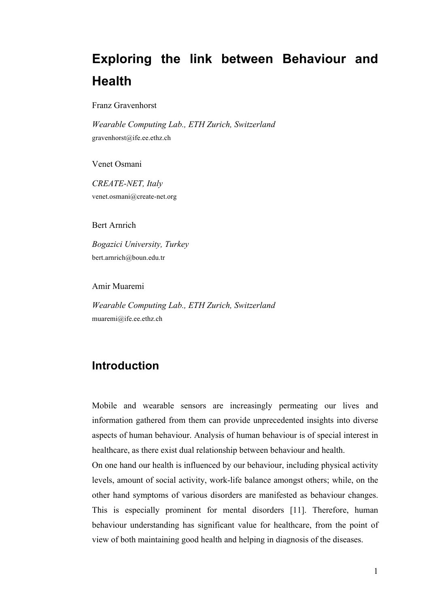## **Exploring the link between Behaviour and Health**

Franz Gravenhorst

*Wearable Computing Lab., ETH Zurich, Switzerland* gravenhorst@ife.ee.ethz.ch

Venet Osmani

*CREATE-NET, Italy* venet.osmani@create-net.org

Bert Arnrich

*Bogazici University, Turkey* bert.arnrich@boun.edu.tr

Amir Muaremi

*Wearable Computing Lab., ETH Zurich, Switzerland* muaremi@ife.ee.ethz.ch

## **Introduction**

Mobile and wearable sensors are increasingly permeating our lives and information gathered from them can provide unprecedented insights into diverse aspects of human behaviour. Analysis of human behaviour is of special interest in healthcare, as there exist dual relationship between behaviour and health.

On one hand our health is influenced by our behaviour, including physical activity levels, amount of social activity, work-life balance amongst others; while, on the other hand symptoms of various disorders are manifested as behaviour changes. This is especially prominent for mental disorders [11]. Therefore, human behaviour understanding has significant value for healthcare, from the point of view of both maintaining good health and helping in diagnosis of the diseases.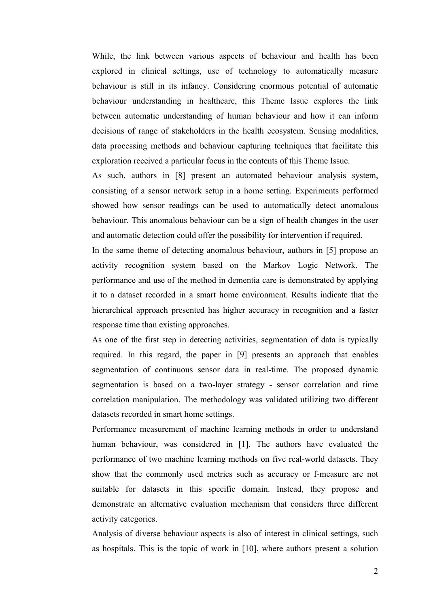While, the link between various aspects of behaviour and health has been explored in clinical settings, use of technology to automatically measure behaviour is still in its infancy. Considering enormous potential of automatic behaviour understanding in healthcare, this Theme Issue explores the link between automatic understanding of human behaviour and how it can inform decisions of range of stakeholders in the health ecosystem. Sensing modalities, data processing methods and behaviour capturing techniques that facilitate this exploration received a particular focus in the contents of this Theme Issue.

As such, authors in [8] present an automated behaviour analysis system, consisting of a sensor network setup in a home setting. Experiments performed showed how sensor readings can be used to automatically detect anomalous behaviour. This anomalous behaviour can be a sign of health changes in the user and automatic detection could offer the possibility for intervention if required.

In the same theme of detecting anomalous behaviour, authors in [5] propose an activity recognition system based on the Markov Logic Network. The performance and use of the method in dementia care is demonstrated by applying it to a dataset recorded in a smart home environment. Results indicate that the hierarchical approach presented has higher accuracy in recognition and a faster response time than existing approaches.

As one of the first step in detecting activities, segmentation of data is typically required. In this regard, the paper in [9] presents an approach that enables segmentation of continuous sensor data in real-time. The proposed dynamic segmentation is based on a two-layer strategy - sensor correlation and time correlation manipulation. The methodology was validated utilizing two different datasets recorded in smart home settings.

Performance measurement of machine learning methods in order to understand human behaviour, was considered in [1]. The authors have evaluated the performance of two machine learning methods on five real-world datasets. They show that the commonly used metrics such as accuracy or f-measure are not suitable for datasets in this specific domain. Instead, they propose and demonstrate an alternative evaluation mechanism that considers three different activity categories.

Analysis of diverse behaviour aspects is also of interest in clinical settings, such as hospitals. This is the topic of work in [10], where authors present a solution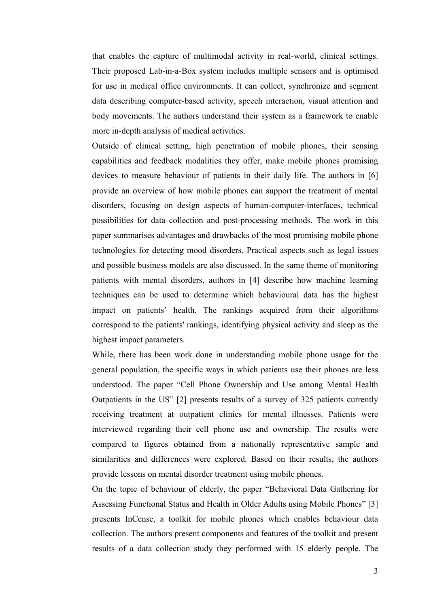that enables the capture of multimodal activity in real-world, clinical settings. Their proposed Lab-in-a-Box system includes multiple sensors and is optimised for use in medical office environments. It can collect, synchronize and segment data describing computer-based activity, speech interaction, visual attention and body movements. The authors understand their system as a framework to enable more in-depth analysis of medical activities.

Outside of clinical setting, high penetration of mobile phones, their sensing capabilities and feedback modalities they offer, make mobile phones promising devices to measure behaviour of patients in their daily life. The authors in [6] provide an overview of how mobile phones can support the treatment of mental disorders, focusing on design aspects of human-computer-interfaces, technical possibilities for data collection and post-processing methods. The work in this paper summarises advantages and drawbacks of the most promising mobile phone technologies for detecting mood disorders. Practical aspects such as legal issues and possible business models are also discussed. In the same theme of monitoring patients with mental disorders, authors in [4] describe how machine learning techniques can be used to determine which behavioural data has the highest impact on patients' health. The rankings acquired from their algorithms correspond to the patients' rankings, identifying physical activity and sleep as the highest impact parameters.

While, there has been work done in understanding mobile phone usage for the general population, the specific ways in which patients use their phones are less understood. The paper "Cell Phone Ownership and Use among Mental Health Outpatients in the US" [2] presents results of a survey of 325 patients currently receiving treatment at outpatient clinics for mental illnesses. Patients were interviewed regarding their cell phone use and ownership. The results were compared to figures obtained from a nationally representative sample and similarities and differences were explored. Based on their results, the authors provide lessons on mental disorder treatment using mobile phones.

On the topic of behaviour of elderly, the paper "Behavioral Data Gathering for Assessing Functional Status and Health in Older Adults using Mobile Phones" [3] presents InCense, a toolkit for mobile phones which enables behaviour data collection. The authors present components and features of the toolkit and present results of a data collection study they performed with 15 elderly people. The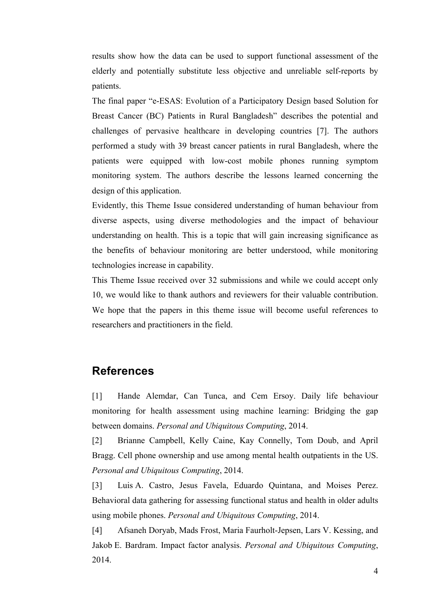results show how the data can be used to support functional assessment of the elderly and potentially substitute less objective and unreliable self-reports by patients.

The final paper "e-ESAS: Evolution of a Participatory Design based Solution for Breast Cancer (BC) Patients in Rural Bangladesh" describes the potential and challenges of pervasive healthcare in developing countries [7]. The authors performed a study with 39 breast cancer patients in rural Bangladesh, where the patients were equipped with low-cost mobile phones running symptom monitoring system. The authors describe the lessons learned concerning the design of this application.

Evidently, this Theme Issue considered understanding of human behaviour from diverse aspects, using diverse methodologies and the impact of behaviour understanding on health. This is a topic that will gain increasing significance as the benefits of behaviour monitoring are better understood, while monitoring technologies increase in capability.

This Theme Issue received over 32 submissions and while we could accept only 10, we would like to thank authors and reviewers for their valuable contribution. We hope that the papers in this theme issue will become useful references to researchers and practitioners in the field.

## **References**

[1] Hande Alemdar, Can Tunca, and Cem Ersoy. Daily life behaviour monitoring for health assessment using machine learning: Bridging the gap between domains. *Personal and Ubiquitous Computing*, 2014.

[2] Brianne Campbell, Kelly Caine, Kay Connelly, Tom Doub, and April Bragg. Cell phone ownership and use among mental health outpatients in the US. *Personal and Ubiquitous Computing*, 2014.

[3] Luis A. Castro, Jesus Favela, Eduardo Quintana, and Moises Perez. Behavioral data gathering for assessing functional status and health in older adults using mobile phones. *Personal and Ubiquitous Computing*, 2014.

[4] Afsaneh Doryab, Mads Frost, Maria Faurholt-Jepsen, Lars V. Kessing, and Jakob E. Bardram. Impact factor analysis. *Personal and Ubiquitous Computing*, 2014.